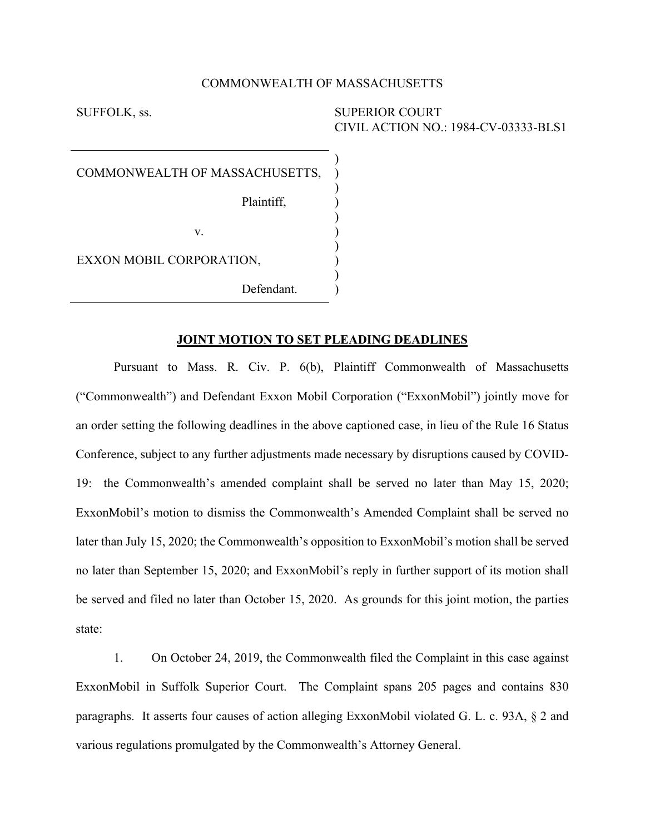#### COMMONWEALTH OF MASSACHUSETTS

) ) ) ) ) ) ) ) ) )

SUFFOLK, ss. SUPERIOR COURT CIVIL ACTION NO.: 1984-CV-03333-BLS1

COMMONWEALTH OF MASSACHUSETTS,

Plaintiff,

v.

EXXON MOBIL CORPORATION,

Defendant.

### **JOINT MOTION TO SET PLEADING DEADLINES**

Pursuant to Mass. R. Civ. P. 6(b), Plaintiff Commonwealth of Massachusetts ("Commonwealth") and Defendant Exxon Mobil Corporation ("ExxonMobil") jointly move for an order setting the following deadlines in the above captioned case, in lieu of the Rule 16 Status Conference, subject to any further adjustments made necessary by disruptions caused by COVID-19: the Commonwealth's amended complaint shall be served no later than May 15, 2020; ExxonMobil's motion to dismiss the Commonwealth's Amended Complaint shall be served no later than July 15, 2020; the Commonwealth's opposition to ExxonMobil's motion shall be served no later than September 15, 2020; and ExxonMobil's reply in further support of its motion shall be served and filed no later than October 15, 2020. As grounds for this joint motion, the parties state:

1. On October 24, 2019, the Commonwealth filed the Complaint in this case against ExxonMobil in Suffolk Superior Court. The Complaint spans 205 pages and contains 830 paragraphs. It asserts four causes of action alleging ExxonMobil violated G. L. c. 93A, § 2 and various regulations promulgated by the Commonwealth's Attorney General.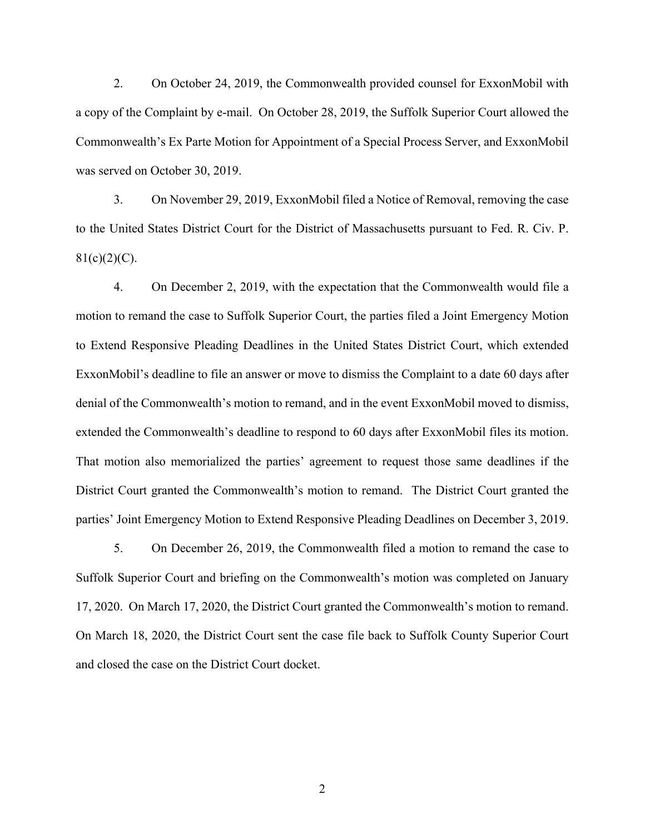2. On October 24, 2019, the Commonwealth provided counsel for ExxonMobil with a copy of the Complaint by e-mail. On October 28, 2019, the Suffolk Superior Court allowed the Commonwealth's Ex Parte Motion for Appointment of a Special Process Server, and ExxonMobil was served on October 30, 2019.

3. On November 29, 2019, ExxonMobil filed a Notice of Removal, removing the case to the United States District Court for the District of Massachusetts pursuant to Fed. R. Civ. P.  $81(c)(2)(C)$ .

4. On December 2, 2019, with the expectation that the Commonwealth would file a motion to remand the case to Suffolk Superior Court, the parties filed a Joint Emergency Motion to Extend Responsive Pleading Deadlines in the United States District Court, which extended ExxonMobil's deadline to file an answer or move to dismiss the Complaint to a date 60 days after denial of the Commonwealth's motion to remand, and in the event ExxonMobil moved to dismiss, extended the Commonwealth's deadline to respond to 60 days after ExxonMobil files its motion. That motion also memorialized the parties' agreement to request those same deadlines if the District Court granted the Commonwealth's motion to remand. The District Court granted the parties' Joint Emergency Motion to Extend Responsive Pleading Deadlines on December 3, 2019.

5. On December 26, 2019, the Commonwealth filed a motion to remand the case to Suffolk Superior Court and briefing on the Commonwealth's motion was completed on January 17, 2020. On March 17, 2020, the District Court granted the Commonwealth's motion to remand. On March 18, 2020, the District Court sent the case file back to Suffolk County Superior Court and closed the case on the District Court docket.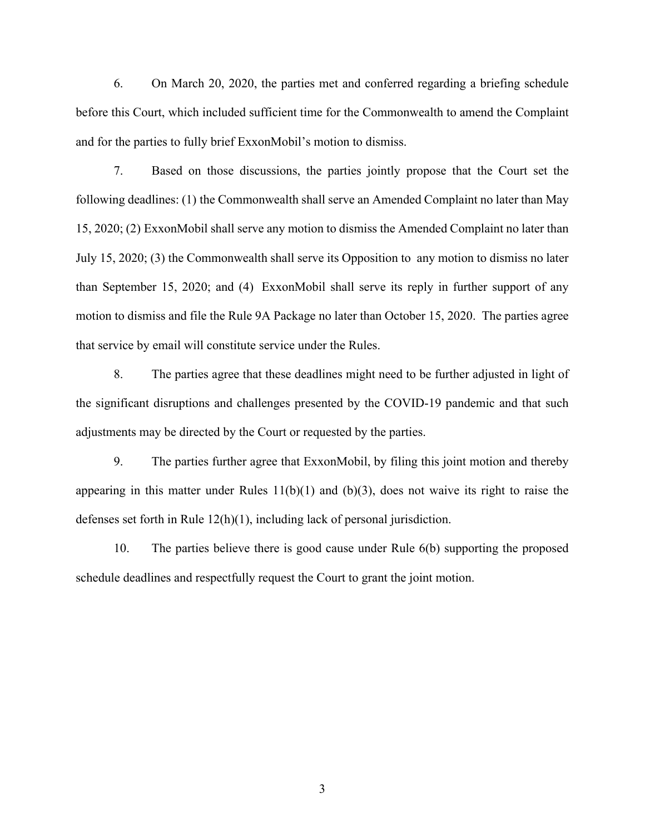6. On March 20, 2020, the parties met and conferred regarding a briefing schedule before this Court, which included sufficient time for the Commonwealth to amend the Complaint and for the parties to fully brief ExxonMobil's motion to dismiss.

7. Based on those discussions, the parties jointly propose that the Court set the following deadlines: (1) the Commonwealth shall serve an Amended Complaint no later than May 15, 2020; (2) ExxonMobil shall serve any motion to dismiss the Amended Complaint no later than July 15, 2020; (3) the Commonwealth shall serve its Opposition to any motion to dismiss no later than September 15, 2020; and (4) ExxonMobil shall serve its reply in further support of any motion to dismiss and file the Rule 9A Package no later than October 15, 2020. The parties agree that service by email will constitute service under the Rules.

8. The parties agree that these deadlines might need to be further adjusted in light of the significant disruptions and challenges presented by the COVID-19 pandemic and that such adjustments may be directed by the Court or requested by the parties.

9. The parties further agree that ExxonMobil, by filing this joint motion and thereby appearing in this matter under Rules  $11(b)(1)$  and  $(b)(3)$ , does not waive its right to raise the defenses set forth in Rule 12(h)(1), including lack of personal jurisdiction.

10. The parties believe there is good cause under Rule 6(b) supporting the proposed schedule deadlines and respectfully request the Court to grant the joint motion.

3